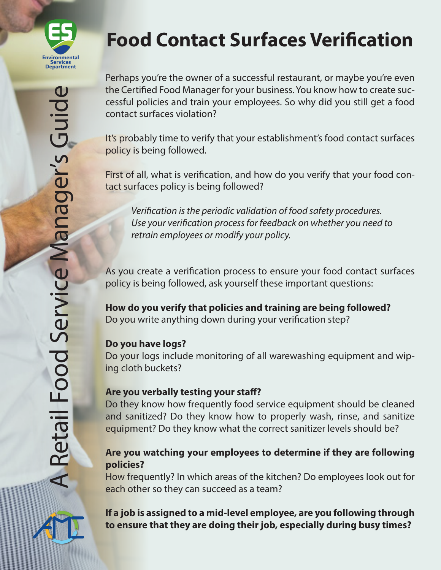

# **Food Contact Surfaces Verification**

Perhaps you're the owner of a successful restaurant, or maybe you're even the Certified Food Manager for your business. You know how to create successful policies and train your employees. So why did you still get a food contact surfaces violation?

It's probably time to verify that your establishment's food contact surfaces policy is being followed.

First of all, what is verification, and how do you verify that your food contact surfaces policy is being followed?

*Verification is the periodic validation of food safety procedures. Use your verification process for feedback on whether you need to retrain employees or modify your policy.*

As you create a verification process to ensure your food contact surfaces policy is being followed, ask yourself these important questions:

**How do you verify that policies and training are being followed?**  Do you write anything down during your verification step?

## **Do you have logs?**

Do your logs include monitoring of all warewashing equipment and wiping cloth buckets?

## **Are you verbally testing your staff?**

Do they know how frequently food service equipment should be cleaned and sanitized? Do they know how to properly wash, rinse, and sanitize equipment? Do they know what the correct sanitizer levels should be?

## **Are you watching your employees to determine if they are following policies?**

How frequently? In which areas of the kitchen? Do employees look out for each other so they can succeed as a team?

## **If a job is assigned to a mid-level employee, are you following through to ensure that they are doing their job, especially during busy times?**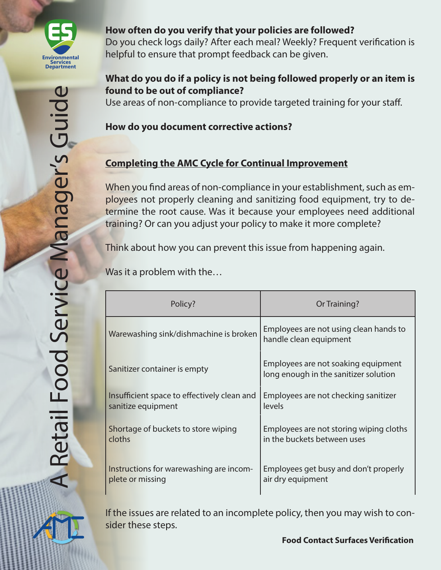

#### **How often do you verify that your policies are followed?**

Do you check logs daily? After each meal? Weekly? Frequent verification is helpful to ensure that prompt feedback can be given.

## **What do you do if a policy is not being followed properly or an item is found to be out of compliance?**

Use areas of non-compliance to provide targeted training for your staff.

### **How do you document corrective actions?**

## **Completing the AMC Cycle for Continual Improvement**

When you find areas of non-compliance in your establishment, such as employees not properly cleaning and sanitizing food equipment, try to determine the root cause. Was it because your employees need additional training? Or can you adjust your policy to make it more complete?

Think about how you can prevent this issue from happening again.

Was it a problem with the…

| Policy?                                     | Or Training?                                                                 |
|---------------------------------------------|------------------------------------------------------------------------------|
| Warewashing sink/dishmachine is broken      | Employees are not using clean hands to<br>handle clean equipment             |
| Sanitizer container is empty                | Employees are not soaking equipment<br>long enough in the sanitizer solution |
| Insufficient space to effectively clean and | Employees are not checking sanitizer                                         |
| sanitize equipment                          | levels                                                                       |
| Shortage of buckets to store wiping         | Employees are not storing wiping cloths                                      |
| cloths                                      | in the buckets between uses                                                  |
| Instructions for warewashing are incom-     | Employees get busy and don't properly                                        |
| plete or missing                            | air dry equipment                                                            |

If the issues are related to an incomplete policy, then you may wish to consider these steps.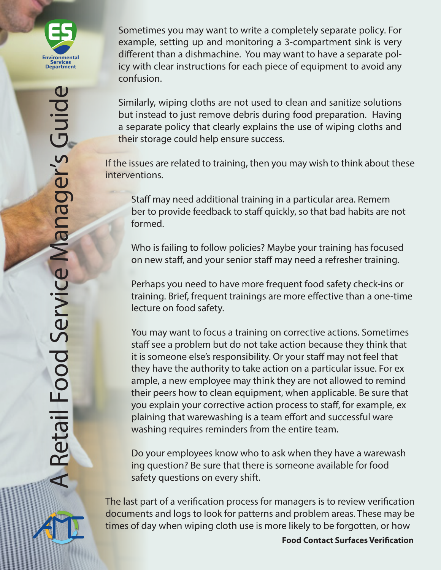

Sometimes you may want to write a completely separate policy. For example, setting up and monitoring a 3-compartment sink is very different than a dishmachine. You may want to have a separate policy with clear instructions for each piece of equipment to avoid any confusion.

Similarly, wiping cloths are not used to clean and sanitize solutions but instead to just remove debris during food preparation. Having a separate policy that clearly explains the use of wiping cloths and their storage could help ensure success.

If the issues are related to training, then you may wish to think about these interventions.

Staff may need additional training in a particular area. Remem ber to provide feedback to staff quickly, so that bad habits are not formed.

Who is failing to follow policies? Maybe your training has focused on new staff, and your senior staff may need a refresher training.

Perhaps you need to have more frequent food safety check-ins or training. Brief, frequent trainings are more effective than a one-time lecture on food safety.

You may want to focus a training on corrective actions. Sometimes staff see a problem but do not take action because they think that it is someone else's responsibility. Or your staff may not feel that they have the authority to take action on a particular issue. For ex ample, a new employee may think they are not allowed to remind their peers how to clean equipment, when applicable. Be sure that you explain your corrective action process to staff, for example, ex plaining that warewashing is a team effort and successful ware washing requires reminders from the entire team.

Do your employees know who to ask when they have a warewash ing question? Be sure that there is someone available for food safety questions on every shift.

The last part of a verification process for managers is to review verification documents and logs to look for patterns and problem areas. These may be times of day when wiping cloth use is more likely to be forgotten, or how